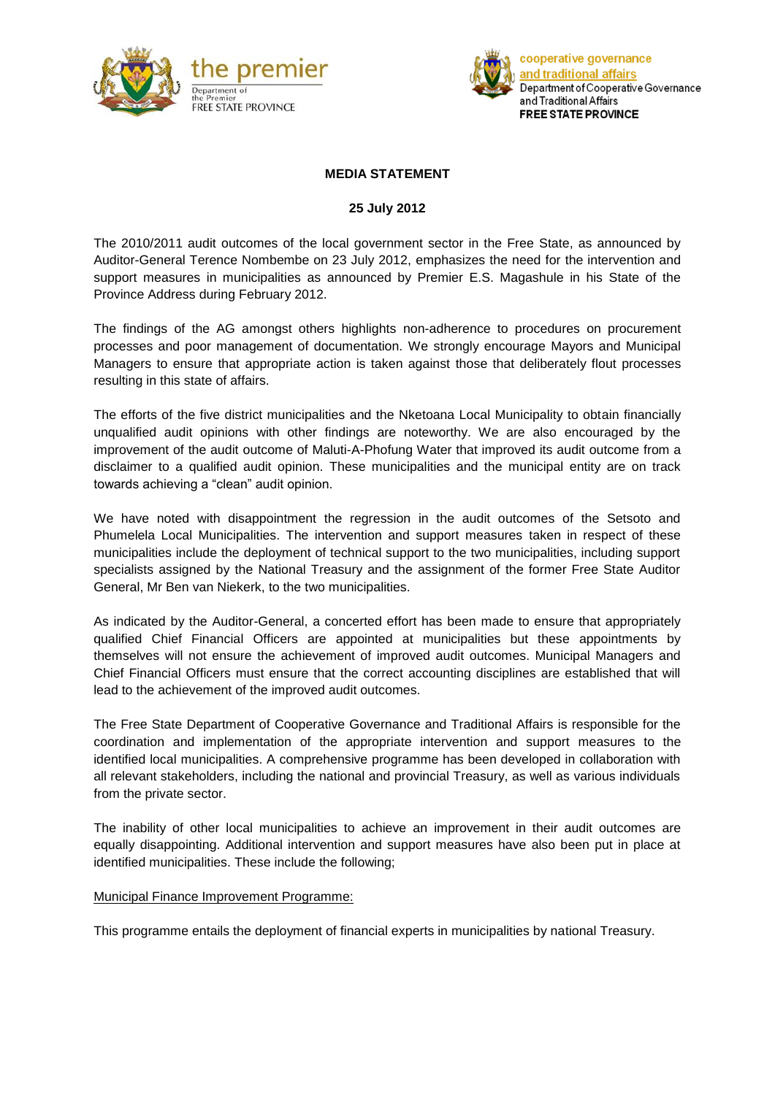



## **MEDIA STATEMENT**

## **25 July 2012**

The 2010/2011 audit outcomes of the local government sector in the Free State, as announced by Auditor-General Terence Nombembe on 23 July 2012, emphasizes the need for the intervention and support measures in municipalities as announced by Premier E.S. Magashule in his State of the Province Address during February 2012.

The findings of the AG amongst others highlights non-adherence to procedures on procurement processes and poor management of documentation. We strongly encourage Mayors and Municipal Managers to ensure that appropriate action is taken against those that deliberately flout processes resulting in this state of affairs.

The efforts of the five district municipalities and the Nketoana Local Municipality to obtain financially unqualified audit opinions with other findings are noteworthy. We are also encouraged by the improvement of the audit outcome of Maluti-A-Phofung Water that improved its audit outcome from a disclaimer to a qualified audit opinion. These municipalities and the municipal entity are on track towards achieving a "clean" audit opinion.

We have noted with disappointment the regression in the audit outcomes of the Setsoto and Phumelela Local Municipalities. The intervention and support measures taken in respect of these municipalities include the deployment of technical support to the two municipalities, including support specialists assigned by the National Treasury and the assignment of the former Free State Auditor General, Mr Ben van Niekerk, to the two municipalities.

As indicated by the Auditor-General, a concerted effort has been made to ensure that appropriately qualified Chief Financial Officers are appointed at municipalities but these appointments by themselves will not ensure the achievement of improved audit outcomes. Municipal Managers and Chief Financial Officers must ensure that the correct accounting disciplines are established that will lead to the achievement of the improved audit outcomes.

The Free State Department of Cooperative Governance and Traditional Affairs is responsible for the coordination and implementation of the appropriate intervention and support measures to the identified local municipalities. A comprehensive programme has been developed in collaboration with all relevant stakeholders, including the national and provincial Treasury, as well as various individuals from the private sector.

The inability of other local municipalities to achieve an improvement in their audit outcomes are equally disappointing. Additional intervention and support measures have also been put in place at identified municipalities. These include the following;

## Municipal Finance Improvement Programme:

This programme entails the deployment of financial experts in municipalities by national Treasury.